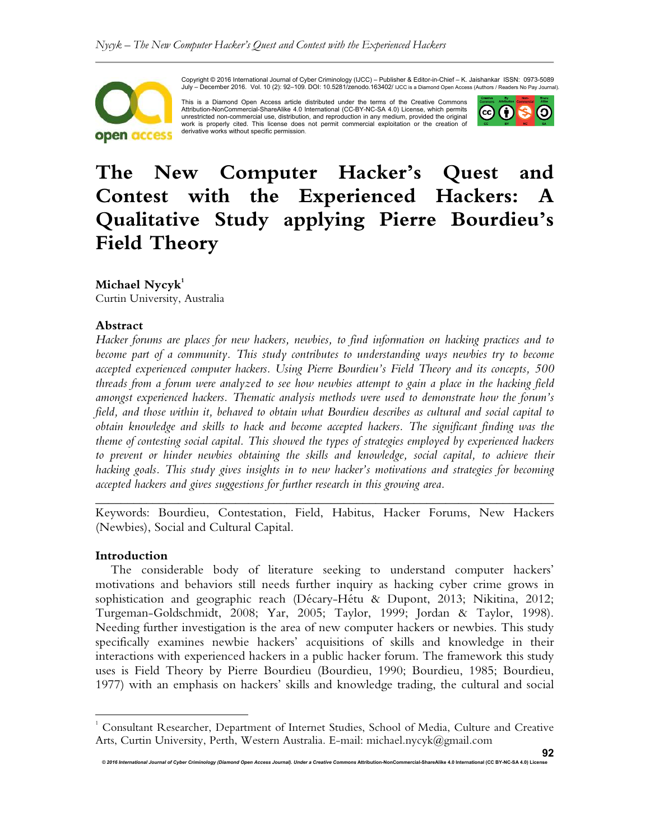

Copyright © 2016 International Journal of Cyber Criminology (IJCC) – Publisher & Editor-in-Chief – K. Jaishankar ISSN: 0973-5089 July – December 2016. Vol. 10 (2): 92–109. DOI: 10.5281/zenodo.163402/ IJCC is a Diamond Open Access (Authors / Readers No Pay Journal).

This is a Diamond Open Access article distributed under the terms of the Creative Commons Attribution-NonCommercial-ShareAlike 4.0 International (CC-BY-NC-SA 4.0) License, which permits unrestricted non-commercial use, distribution, and reproduction in any medium, provided the original work is properly cited. This license does not permit commercial exploitation or the creation of derivative works without specific permission.



# **The New Computer Hacker's Quest and Contest with the Experienced Hackers: A Qualitative Study applying Pierre Bourdieu's Field Theory**

**Michael Nycyk<sup>1</sup>**

Curtin University, Australia

## **Abstract**

*Hacker forums are places for new hackers, newbies, to find information on hacking practices and to become part of a community. This study contributes to understanding ways newbies try to become accepted experienced computer hackers. Using Pierre Bourdieu's Field Theory and its concepts, 500 threads from a forum were analyzed to see how newbies attempt to gain a place in the hacking field amongst experienced hackers. Thematic analysis methods were used to demonstrate how the forum's field, and those within it, behaved to obtain what Bourdieu describes as cultural and social capital to obtain knowledge and skills to hack and become accepted hackers. The significant finding was the theme of contesting social capital. This showed the types of strategies employed by experienced hackers to prevent or hinder newbies obtaining the skills and knowledge, social capital, to achieve their hacking goals. This study gives insights in to new hacker's motivations and strategies for becoming accepted hackers and gives suggestions for further research in this growing area.* 

Keywords: Bourdieu, Contestation, Field, Habitus, Hacker Forums, New Hackers (Newbies), Social and Cultural Capital.

*\_\_\_\_\_\_\_\_\_\_\_\_\_\_\_\_\_\_\_\_\_\_\_\_\_\_\_\_\_\_\_\_\_\_\_\_\_\_\_\_\_\_\_\_\_\_\_\_\_\_\_\_\_\_\_\_\_\_\_\_\_\_\_\_\_\_\_\_\_\_\_\_* 

#### **Introduction**

 $\overline{a}$ 

The considerable body of literature seeking to understand computer hackers' motivations and behaviors still needs further inquiry as hacking cyber crime grows in sophistication and geographic reach (Décary-Hétu & Dupont, 2013; Nikitina, 2012; Turgeman-Goldschmidt, 2008; Yar, 2005; Taylor, 1999; Jordan & Taylor, 1998). Needing further investigation is the area of new computer hackers or newbies. This study specifically examines newbie hackers' acquisitions of skills and knowledge in their interactions with experienced hackers in a public hacker forum. The framework this study uses is Field Theory by Pierre Bourdieu (Bourdieu, 1990; Bourdieu, 1985; Bourdieu, 1977) with an emphasis on hackers' skills and knowledge trading, the cultural and social

*© 2016 International Journal of Cyber Criminology (Diamond Open Access Journal). Under a Creative Commons* **Attribution-NonCommercial-ShareAlike 4.0 International (CC BY-NC-SA 4.0) License** 

<sup>1</sup> Consultant Researcher, Department of Internet Studies, School of Media, Culture and Creative Arts, Curtin University, Perth, Western Australia. E-mail: michael.nycyk@gmail.com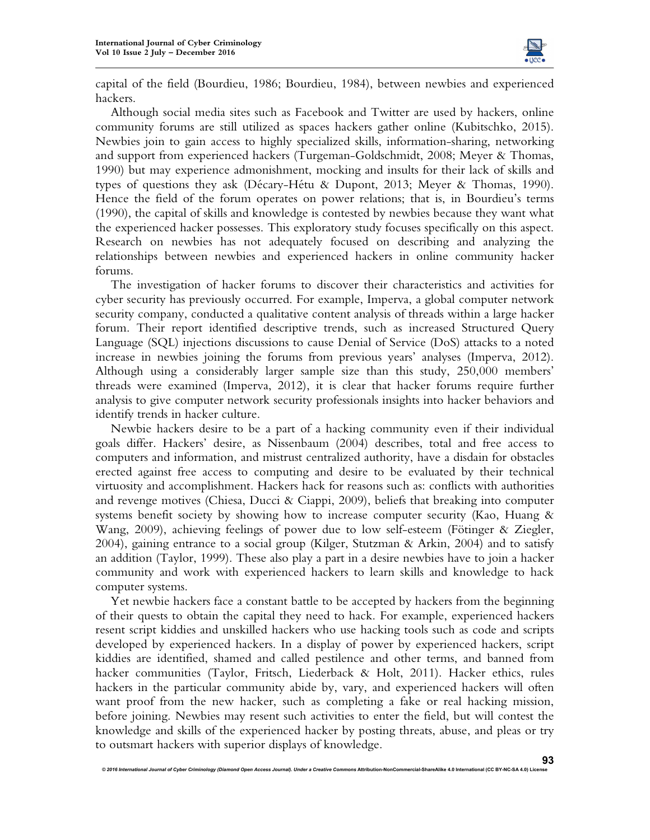

capital of the field (Bourdieu, 1986; Bourdieu, 1984), between newbies and experienced hackers.

Although social media sites such as Facebook and Twitter are used by hackers, online community forums are still utilized as spaces hackers gather online (Kubitschko, 2015). Newbies join to gain access to highly specialized skills, information-sharing, networking and support from experienced hackers (Turgeman-Goldschmidt, 2008; Meyer & Thomas, 1990) but may experience admonishment, mocking and insults for their lack of skills and types of questions they ask (Décary-Hétu & Dupont, 2013; Meyer & Thomas, 1990). Hence the field of the forum operates on power relations; that is, in Bourdieu's terms (1990), the capital of skills and knowledge is contested by newbies because they want what the experienced hacker possesses. This exploratory study focuses specifically on this aspect. Research on newbies has not adequately focused on describing and analyzing the relationships between newbies and experienced hackers in online community hacker forums.

The investigation of hacker forums to discover their characteristics and activities for cyber security has previously occurred. For example, Imperva, a global computer network security company, conducted a qualitative content analysis of threads within a large hacker forum. Their report identified descriptive trends, such as increased Structured Query Language (SQL) injections discussions to cause Denial of Service (DoS) attacks to a noted increase in newbies joining the forums from previous years' analyses (Imperva, 2012). Although using a considerably larger sample size than this study, 250,000 members' threads were examined (Imperva, 2012), it is clear that hacker forums require further analysis to give computer network security professionals insights into hacker behaviors and identify trends in hacker culture.

Newbie hackers desire to be a part of a hacking community even if their individual goals differ. Hackers' desire, as Nissenbaum (2004) describes, total and free access to computers and information, and mistrust centralized authority, have a disdain for obstacles erected against free access to computing and desire to be evaluated by their technical virtuosity and accomplishment. Hackers hack for reasons such as: conflicts with authorities and revenge motives (Chiesa, Ducci & Ciappi, 2009), beliefs that breaking into computer systems benefit society by showing how to increase computer security (Kao, Huang & Wang, 2009), achieving feelings of power due to low self-esteem (Fötinger & Ziegler, 2004), gaining entrance to a social group (Kilger, Stutzman & Arkin, 2004) and to satisfy an addition (Taylor, 1999). These also play a part in a desire newbies have to join a hacker community and work with experienced hackers to learn skills and knowledge to hack computer systems.

Yet newbie hackers face a constant battle to be accepted by hackers from the beginning of their quests to obtain the capital they need to hack. For example, experienced hackers resent script kiddies and unskilled hackers who use hacking tools such as code and scripts developed by experienced hackers. In a display of power by experienced hackers, script kiddies are identified, shamed and called pestilence and other terms, and banned from hacker communities (Taylor, Fritsch, Liederback & Holt, 2011). Hacker ethics, rules hackers in the particular community abide by, vary, and experienced hackers will often want proof from the new hacker, such as completing a fake or real hacking mission, before joining. Newbies may resent such activities to enter the field, but will contest the knowledge and skills of the experienced hacker by posting threats, abuse, and pleas or try to outsmart hackers with superior displays of knowledge.

© 2016 International Journal of Cyber Criminology (Diamond Open Access Journal). Under a Creative Commons Attribution-NonCommercial-ShareAlike 4.0 International (CC BY-NC-SA 4.0) Lic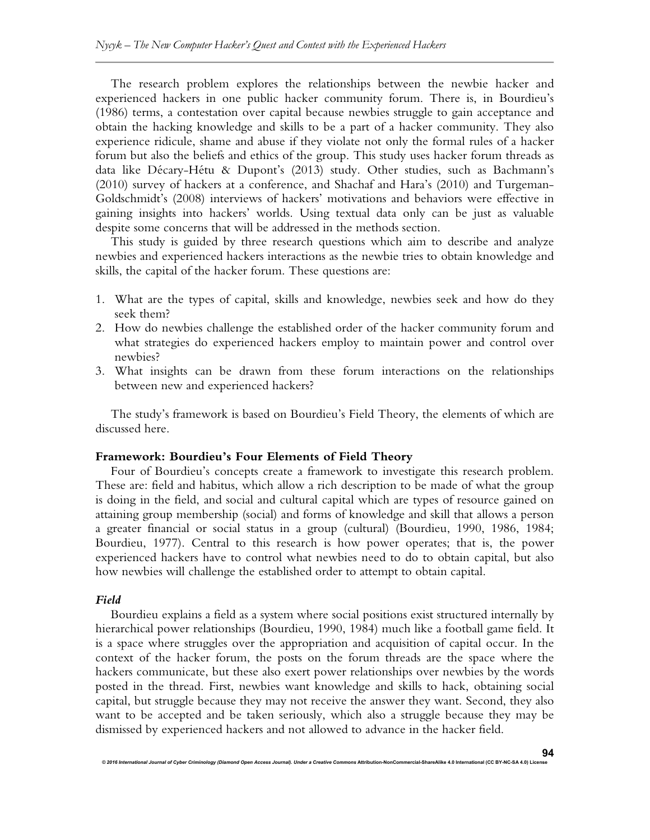The research problem explores the relationships between the newbie hacker and experienced hackers in one public hacker community forum. There is, in Bourdieu's (1986) terms, a contestation over capital because newbies struggle to gain acceptance and obtain the hacking knowledge and skills to be a part of a hacker community. They also experience ridicule, shame and abuse if they violate not only the formal rules of a hacker forum but also the beliefs and ethics of the group. This study uses hacker forum threads as data like Décary-Hétu & Dupont's (2013) study. Other studies, such as Bachmann's (2010) survey of hackers at a conference, and Shachaf and Hara's (2010) and Turgeman-Goldschmidt's (2008) interviews of hackers' motivations and behaviors were effective in gaining insights into hackers' worlds. Using textual data only can be just as valuable despite some concerns that will be addressed in the methods section.

This study is guided by three research questions which aim to describe and analyze newbies and experienced hackers interactions as the newbie tries to obtain knowledge and skills, the capital of the hacker forum. These questions are:

- 1. What are the types of capital, skills and knowledge, newbies seek and how do they seek them?
- 2. How do newbies challenge the established order of the hacker community forum and what strategies do experienced hackers employ to maintain power and control over newbies?
- 3. What insights can be drawn from these forum interactions on the relationships between new and experienced hackers?

The study's framework is based on Bourdieu's Field Theory, the elements of which are discussed here.

#### **Framework: Bourdieu's Four Elements of Field Theory**

*© 2016 International Journal of Cyber Criminology (Diamond Open Access Journal). Under a Creative Commons* **Attribution-NonCommercial-ShareAlike 4.0 International (CC BY-NC-SA 4.0) License** 

Four of Bourdieu's concepts create a framework to investigate this research problem. These are: field and habitus, which allow a rich description to be made of what the group is doing in the field, and social and cultural capital which are types of resource gained on attaining group membership (social) and forms of knowledge and skill that allows a person a greater financial or social status in a group (cultural) (Bourdieu, 1990, 1986, 1984; Bourdieu, 1977). Central to this research is how power operates; that is, the power experienced hackers have to control what newbies need to do to obtain capital, but also how newbies will challenge the established order to attempt to obtain capital.

#### *Field*

Bourdieu explains a field as a system where social positions exist structured internally by hierarchical power relationships (Bourdieu, 1990, 1984) much like a football game field. It is a space where struggles over the appropriation and acquisition of capital occur. In the context of the hacker forum, the posts on the forum threads are the space where the hackers communicate, but these also exert power relationships over newbies by the words posted in the thread. First, newbies want knowledge and skills to hack, obtaining social capital, but struggle because they may not receive the answer they want. Second, they also want to be accepted and be taken seriously, which also a struggle because they may be dismissed by experienced hackers and not allowed to advance in the hacker field.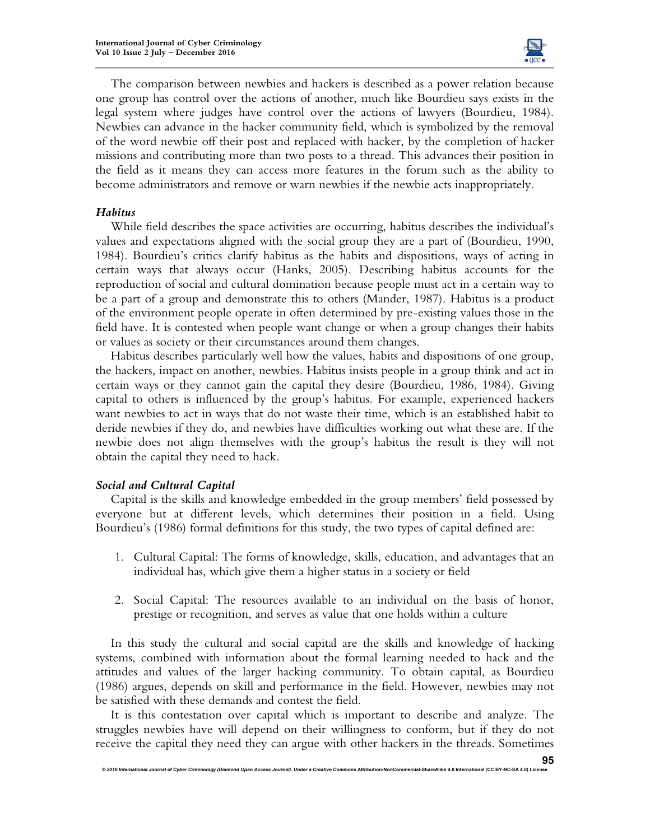

The comparison between newbies and hackers is described as a power relation because one group has control over the actions of another, much like Bourdieu says exists in the legal system where judges have control over the actions of lawyers (Bourdieu, 1984). Newbies can advance in the hacker community field, which is symbolized by the removal of the word newbie off their post and replaced with hacker, by the completion of hacker missions and contributing more than two posts to a thread. This advances their position in the field as it means they can access more features in the forum such as the ability to become administrators and remove or warn newbies if the newbie acts inappropriately.

## *Habitus*

While field describes the space activities are occurring, habitus describes the individual's values and expectations aligned with the social group they are a part of (Bourdieu, 1990, 1984). Bourdieu's critics clarify habitus as the habits and dispositions, ways of acting in certain ways that always occur (Hanks, 2005). Describing habitus accounts for the reproduction of social and cultural domination because people must act in a certain way to be a part of a group and demonstrate this to others (Mander, 1987). Habitus is a product of the environment people operate in often determined by pre-existing values those in the field have. It is contested when people want change or when a group changes their habits or values as society or their circumstances around them changes.

Habitus describes particularly well how the values, habits and dispositions of one group, the hackers, impact on another, newbies. Habitus insists people in a group think and act in certain ways or they cannot gain the capital they desire (Bourdieu, 1986, 1984). Giving capital to others is influenced by the group's habitus. For example, experienced hackers want newbies to act in ways that do not waste their time, which is an established habit to deride newbies if they do, and newbies have difficulties working out what these are. If the newbie does not align themselves with the group's habitus the result is they will not obtain the capital they need to hack.

## *Social and Cultural Capital*

Capital is the skills and knowledge embedded in the group members' field possessed by everyone but at different levels, which determines their position in a field. Using Bourdieu's (1986) formal definitions for this study, the two types of capital defined are:

- 1. Cultural Capital: The forms of knowledge, skills, education, and advantages that an individual has, which give them a higher status in a society or field
- 2. Social Capital: The resources available to an individual on the basis of honor, prestige or recognition, and serves as value that one holds within a culture

In this study the cultural and social capital are the skills and knowledge of hacking systems, combined with information about the formal learning needed to hack and the attitudes and values of the larger hacking community. To obtain capital, as Bourdieu (1986) argues, depends on skill and performance in the field. However, newbies may not be satisfied with these demands and contest the field.

It is this contestation over capital which is important to describe and analyze. The struggles newbies have will depend on their willingness to conform, but if they do not receive the capital they need they can argue with other hackers in the threads. Sometimes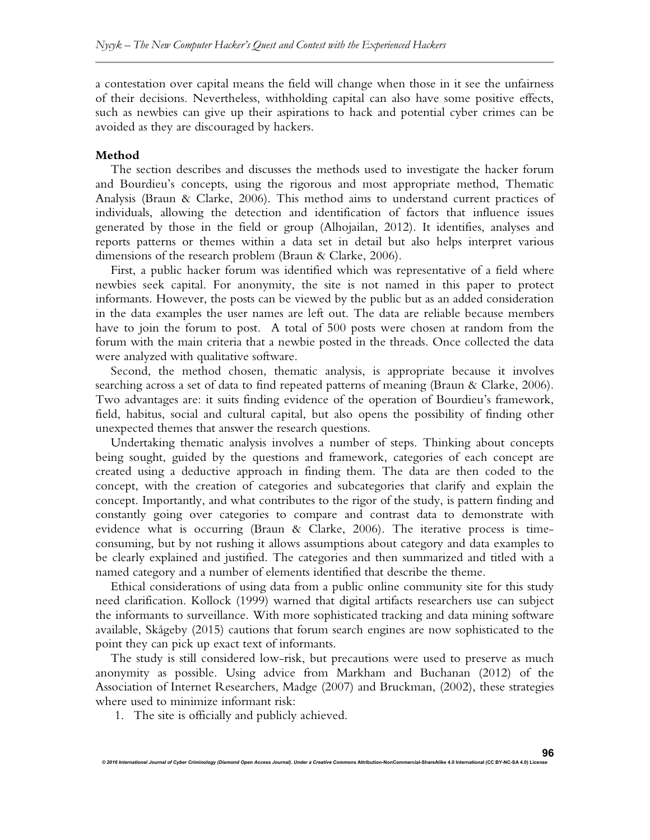a contestation over capital means the field will change when those in it see the unfairness of their decisions. Nevertheless, withholding capital can also have some positive effects, such as newbies can give up their aspirations to hack and potential cyber crimes can be avoided as they are discouraged by hackers.

## **Method**

The section describes and discusses the methods used to investigate the hacker forum and Bourdieu's concepts, using the rigorous and most appropriate method, Thematic Analysis (Braun & Clarke, 2006). This method aims to understand current practices of individuals, allowing the detection and identification of factors that influence issues generated by those in the field or group (Alhojailan, 2012). It identifies, analyses and reports patterns or themes within a data set in detail but also helps interpret various dimensions of the research problem (Braun & Clarke, 2006).

First, a public hacker forum was identified which was representative of a field where newbies seek capital. For anonymity, the site is not named in this paper to protect informants. However, the posts can be viewed by the public but as an added consideration in the data examples the user names are left out. The data are reliable because members have to join the forum to post. A total of 500 posts were chosen at random from the forum with the main criteria that a newbie posted in the threads. Once collected the data were analyzed with qualitative software.

Second, the method chosen, thematic analysis, is appropriate because it involves searching across a set of data to find repeated patterns of meaning (Braun & Clarke, 2006). Two advantages are: it suits finding evidence of the operation of Bourdieu's framework, field, habitus, social and cultural capital, but also opens the possibility of finding other unexpected themes that answer the research questions.

Undertaking thematic analysis involves a number of steps. Thinking about concepts being sought, guided by the questions and framework, categories of each concept are created using a deductive approach in finding them. The data are then coded to the concept, with the creation of categories and subcategories that clarify and explain the concept. Importantly, and what contributes to the rigor of the study, is pattern finding and constantly going over categories to compare and contrast data to demonstrate with evidence what is occurring (Braun & Clarke, 2006). The iterative process is timeconsuming, but by not rushing it allows assumptions about category and data examples to be clearly explained and justified. The categories and then summarized and titled with a named category and a number of elements identified that describe the theme.

Ethical considerations of using data from a public online community site for this study need clarification. Kollock (1999) warned that digital artifacts researchers use can subject the informants to surveillance. With more sophisticated tracking and data mining software available, Skågeby (2015) cautions that forum search engines are now sophisticated to the point they can pick up exact text of informants.

The study is still considered low-risk, but precautions were used to preserve as much anonymity as possible. Using advice from Markham and Buchanan (2012) of the Association of Internet Researchers, Madge (2007) and Bruckman, (2002), these strategies where used to minimize informant risk:

1. The site is officially and publicly achieved.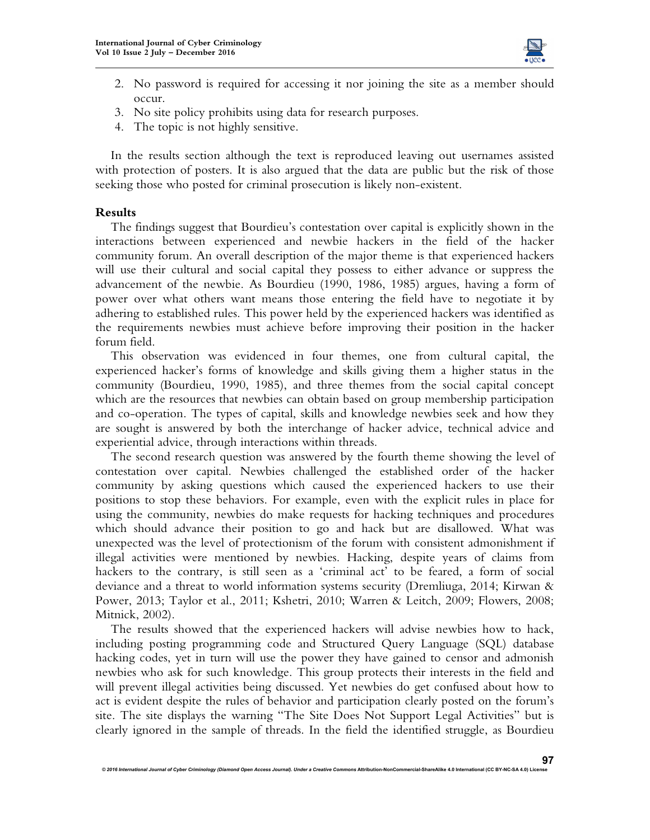

- 2. No password is required for accessing it nor joining the site as a member should occur.
- 3. No site policy prohibits using data for research purposes.
- 4. The topic is not highly sensitive.

In the results section although the text is reproduced leaving out usernames assisted with protection of posters. It is also argued that the data are public but the risk of those seeking those who posted for criminal prosecution is likely non-existent.

#### **Results**

The findings suggest that Bourdieu's contestation over capital is explicitly shown in the interactions between experienced and newbie hackers in the field of the hacker community forum. An overall description of the major theme is that experienced hackers will use their cultural and social capital they possess to either advance or suppress the advancement of the newbie. As Bourdieu (1990, 1986, 1985) argues, having a form of power over what others want means those entering the field have to negotiate it by adhering to established rules. This power held by the experienced hackers was identified as the requirements newbies must achieve before improving their position in the hacker forum field.

This observation was evidenced in four themes, one from cultural capital, the experienced hacker's forms of knowledge and skills giving them a higher status in the community (Bourdieu, 1990, 1985), and three themes from the social capital concept which are the resources that newbies can obtain based on group membership participation and co-operation. The types of capital, skills and knowledge newbies seek and how they are sought is answered by both the interchange of hacker advice, technical advice and experiential advice, through interactions within threads.

The second research question was answered by the fourth theme showing the level of contestation over capital. Newbies challenged the established order of the hacker community by asking questions which caused the experienced hackers to use their positions to stop these behaviors. For example, even with the explicit rules in place for using the community, newbies do make requests for hacking techniques and procedures which should advance their position to go and hack but are disallowed. What was unexpected was the level of protectionism of the forum with consistent admonishment if illegal activities were mentioned by newbies. Hacking, despite years of claims from hackers to the contrary, is still seen as a 'criminal act' to be feared, a form of social deviance and a threat to world information systems security (Dremliuga, 2014; Kirwan & Power, 2013; Taylor et al., 2011; Kshetri, 2010; Warren & Leitch, 2009; Flowers, 2008; Mitnick, 2002).

The results showed that the experienced hackers will advise newbies how to hack, including posting programming code and Structured Query Language (SQL) database hacking codes, yet in turn will use the power they have gained to censor and admonish newbies who ask for such knowledge. This group protects their interests in the field and will prevent illegal activities being discussed. Yet newbies do get confused about how to act is evident despite the rules of behavior and participation clearly posted on the forum's site. The site displays the warning "The Site Does Not Support Legal Activities" but is clearly ignored in the sample of threads. In the field the identified struggle, as Bourdieu

 $@$  2016 International Journal of Cyber Criminology (Diamond Open Access Journal). Under a Creative Con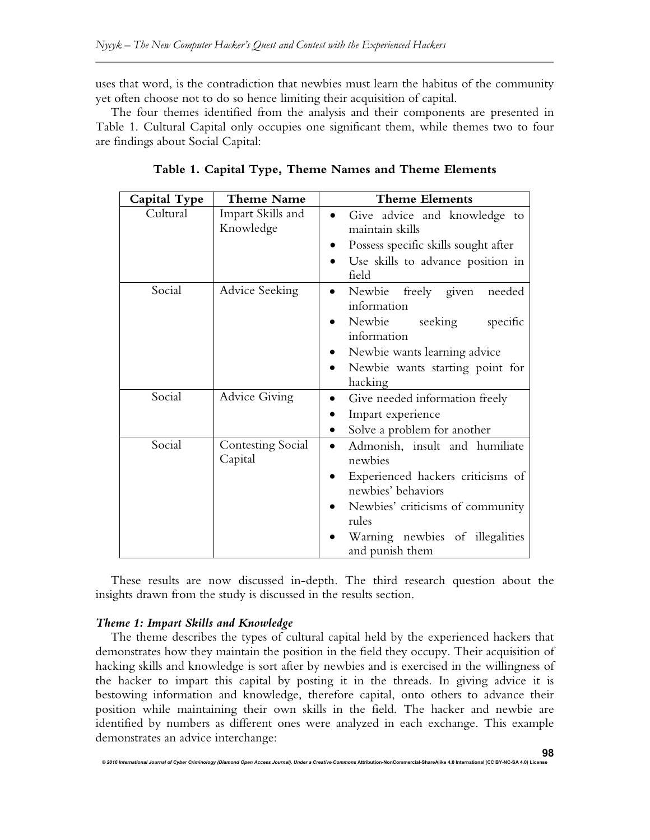uses that word, is the contradiction that newbies must learn the habitus of the community yet often choose not to do so hence limiting their acquisition of capital.

The four themes identified from the analysis and their components are presented in Table 1. Cultural Capital only occupies one significant them, while themes two to four are findings about Social Capital:

| Capital Type | <b>Theme Name</b>                   | <b>Theme Elements</b>                                   |
|--------------|-------------------------------------|---------------------------------------------------------|
| Cultural     | Impart Skills and<br>Knowledge      | Give advice and knowledge to<br>maintain skills         |
|              |                                     | Possess specific skills sought after                    |
|              |                                     | Use skills to advance position in<br>field              |
| Social       | Advice Seeking                      | Newbie freely given needed<br>$\bullet$<br>information  |
|              |                                     | Newbie seeking<br>specific<br>information               |
|              |                                     | Newbie wants learning advice                            |
|              |                                     | Newbie wants starting point for<br>hacking              |
| Social       | <b>Advice Giving</b>                | Give needed information freely<br>$\bullet$             |
|              |                                     | Impart experience                                       |
|              |                                     | Solve a problem for another<br>$\bullet$                |
| Social       | <b>Contesting Social</b><br>Capital | Admonish, insult and humiliate<br>newbies               |
|              |                                     | Experienced hackers criticisms of<br>newbies' behaviors |
|              |                                     | Newbies' criticisms of community<br>rules               |
|              |                                     | Warning newbies of illegalities<br>and punish them      |

**Table 1. Capital Type, Theme Names and Theme Elements** 

These results are now discussed in-depth. The third research question about the insights drawn from the study is discussed in the results section.

## *Theme 1: Impart Skills and Knowledge*

The theme describes the types of cultural capital held by the experienced hackers that demonstrates how they maintain the position in the field they occupy. Their acquisition of hacking skills and knowledge is sort after by newbies and is exercised in the willingness of the hacker to impart this capital by posting it in the threads. In giving advice it is bestowing information and knowledge, therefore capital, onto others to advance their position while maintaining their own skills in the field. The hacker and newbie are identified by numbers as different ones were analyzed in each exchange. This example demonstrates an advice interchange:

*© 2016 International Journal of Cyber Criminology (Diamond Open Access Journal). Under a Creative Commons* **Attribution-NonCommercial-ShareAlike 4.0 International (CC BY-NC-SA 4.0) License**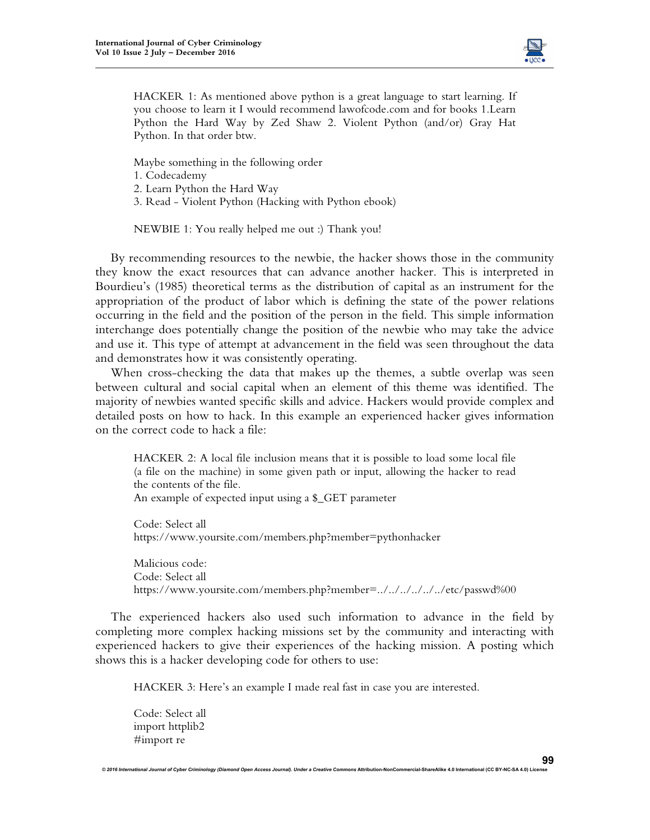

HACKER 1: As mentioned above python is a great language to start learning. If you choose to learn it I would recommend lawofcode.com and for books 1.Learn Python the Hard Way by Zed Shaw 2. Violent Python (and/or) Gray Hat Python. In that order btw.

Maybe something in the following order

- 1. Codecademy
- 2. Learn Python the Hard Way
- 3. Read Violent Python (Hacking with Python ebook)

NEWBIE 1: You really helped me out :) Thank you!

By recommending resources to the newbie, the hacker shows those in the community they know the exact resources that can advance another hacker. This is interpreted in Bourdieu's (1985) theoretical terms as the distribution of capital as an instrument for the appropriation of the product of labor which is defining the state of the power relations occurring in the field and the position of the person in the field. This simple information interchange does potentially change the position of the newbie who may take the advice and use it. This type of attempt at advancement in the field was seen throughout the data and demonstrates how it was consistently operating.

When cross-checking the data that makes up the themes, a subtle overlap was seen between cultural and social capital when an element of this theme was identified. The majority of newbies wanted specific skills and advice. Hackers would provide complex and detailed posts on how to hack. In this example an experienced hacker gives information on the correct code to hack a file:

HACKER 2: A local file inclusion means that it is possible to load some local file (a file on the machine) in some given path or input, allowing the hacker to read the contents of the file.

An example of expected input using a \$\_GET parameter

Code: Select all https://www.yoursite.com/members.php?member=pythonhacker

Malicious code: Code: Select all https://www.yoursite.com/members.php?member=../../../../../../etc/passwd%00

The experienced hackers also used such information to advance in the field by completing more complex hacking missions set by the community and interacting with experienced hackers to give their experiences of the hacking mission. A posting which shows this is a hacker developing code for others to use:

HACKER 3: Here's an example I made real fast in case you are interested.

© 2016 International Journal of Cyber Criminology (Diamond Open Access Journal). Under a Creative Commons Attribution-NonCommercial-ShareAlike 4.0 International (CC BY-NC-SA 4.0) Lic

Code: Select all import httplib2 #import re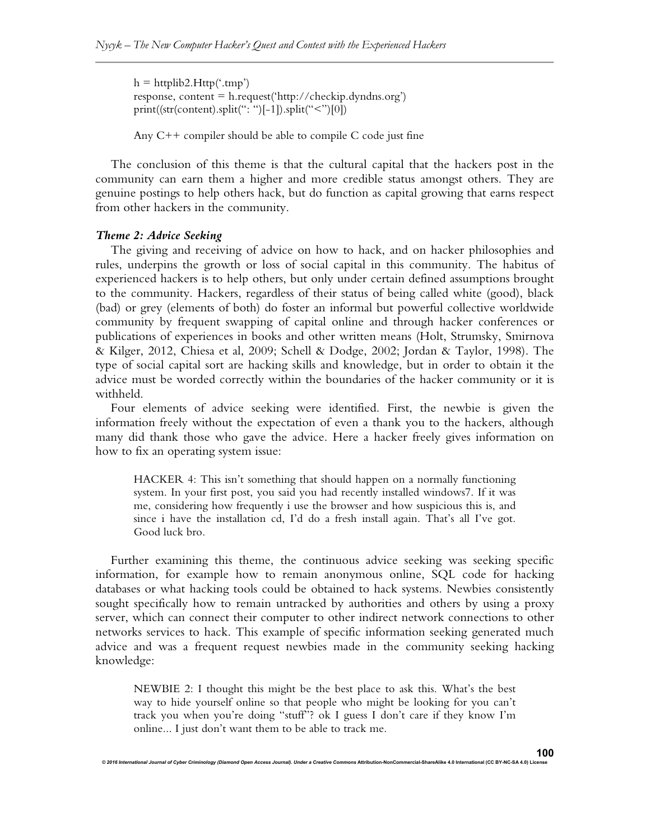$h = \text{httplib2.Http}$ ('.tmp') response, content = h.request('http://checkip.dyndns.org') print((str(content).split(": ")[-1]).split("<")[0])

Any C++ compiler should be able to compile C code just fine

The conclusion of this theme is that the cultural capital that the hackers post in the community can earn them a higher and more credible status amongst others. They are genuine postings to help others hack, but do function as capital growing that earns respect from other hackers in the community.

#### *Theme 2: Advice Seeking*

The giving and receiving of advice on how to hack, and on hacker philosophies and rules, underpins the growth or loss of social capital in this community. The habitus of experienced hackers is to help others, but only under certain defined assumptions brought to the community. Hackers, regardless of their status of being called white (good), black (bad) or grey (elements of both) do foster an informal but powerful collective worldwide community by frequent swapping of capital online and through hacker conferences or publications of experiences in books and other written means (Holt, Strumsky, Smirnova & Kilger, 2012, Chiesa et al, 2009; Schell & Dodge, 2002; Jordan & Taylor, 1998). The type of social capital sort are hacking skills and knowledge, but in order to obtain it the advice must be worded correctly within the boundaries of the hacker community or it is withheld.

Four elements of advice seeking were identified. First, the newbie is given the information freely without the expectation of even a thank you to the hackers, although many did thank those who gave the advice. Here a hacker freely gives information on how to fix an operating system issue:

HACKER 4: This isn't something that should happen on a normally functioning system. In your first post, you said you had recently installed windows7. If it was me, considering how frequently i use the browser and how suspicious this is, and since i have the installation cd, I'd do a fresh install again. That's all I've got. Good luck bro.

Further examining this theme, the continuous advice seeking was seeking specific information, for example how to remain anonymous online, SQL code for hacking databases or what hacking tools could be obtained to hack systems. Newbies consistently sought specifically how to remain untracked by authorities and others by using a proxy server, which can connect their computer to other indirect network connections to other networks services to hack. This example of specific information seeking generated much advice and was a frequent request newbies made in the community seeking hacking knowledge:

NEWBIE 2: I thought this might be the best place to ask this. What's the best way to hide yourself online so that people who might be looking for you can't track you when you're doing "stuff"? ok I guess I don't care if they know I'm online... I just don't want them to be able to track me.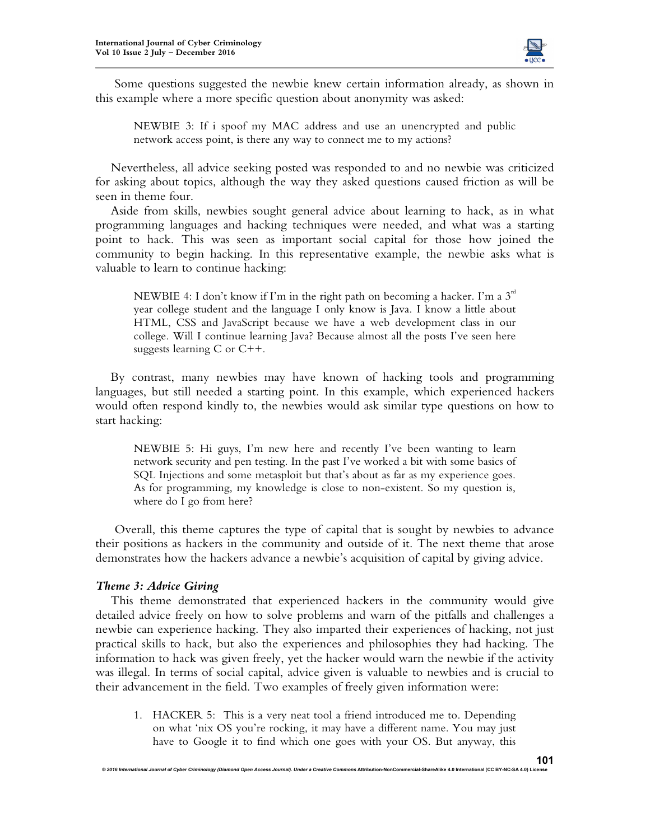

Some questions suggested the newbie knew certain information already, as shown in this example where a more specific question about anonymity was asked:

NEWBIE 3: If i spoof my MAC address and use an unencrypted and public network access point, is there any way to connect me to my actions?

Nevertheless, all advice seeking posted was responded to and no newbie was criticized for asking about topics, although the way they asked questions caused friction as will be seen in theme four.

Aside from skills, newbies sought general advice about learning to hack, as in what programming languages and hacking techniques were needed, and what was a starting point to hack. This was seen as important social capital for those how joined the community to begin hacking. In this representative example, the newbie asks what is valuable to learn to continue hacking:

NEWBIE 4: I don't know if I'm in the right path on becoming a hacker. I'm a  $3<sup>rd</sup>$ year college student and the language I only know is Java. I know a little about HTML, CSS and JavaScript because we have a web development class in our college. Will I continue learning Java? Because almost all the posts I've seen here suggests learning C or C++.

By contrast, many newbies may have known of hacking tools and programming languages, but still needed a starting point. In this example, which experienced hackers would often respond kindly to, the newbies would ask similar type questions on how to start hacking:

NEWBIE 5: Hi guys, I'm new here and recently I've been wanting to learn network security and pen testing. In the past I've worked a bit with some basics of SQL Injections and some metasploit but that's about as far as my experience goes. As for programming, my knowledge is close to non-existent. So my question is, where do I go from here?

Overall, this theme captures the type of capital that is sought by newbies to advance their positions as hackers in the community and outside of it. The next theme that arose demonstrates how the hackers advance a newbie's acquisition of capital by giving advice.

## *Theme 3: Advice Giving*

This theme demonstrated that experienced hackers in the community would give detailed advice freely on how to solve problems and warn of the pitfalls and challenges a newbie can experience hacking. They also imparted their experiences of hacking, not just practical skills to hack, but also the experiences and philosophies they had hacking. The information to hack was given freely, yet the hacker would warn the newbie if the activity was illegal. In terms of social capital, advice given is valuable to newbies and is crucial to their advancement in the field. Two examples of freely given information were:

1. HACKER 5: This is a very neat tool a friend introduced me to. Depending on what 'nix OS you're rocking, it may have a different name. You may just have to Google it to find which one goes with your OS. But anyway, this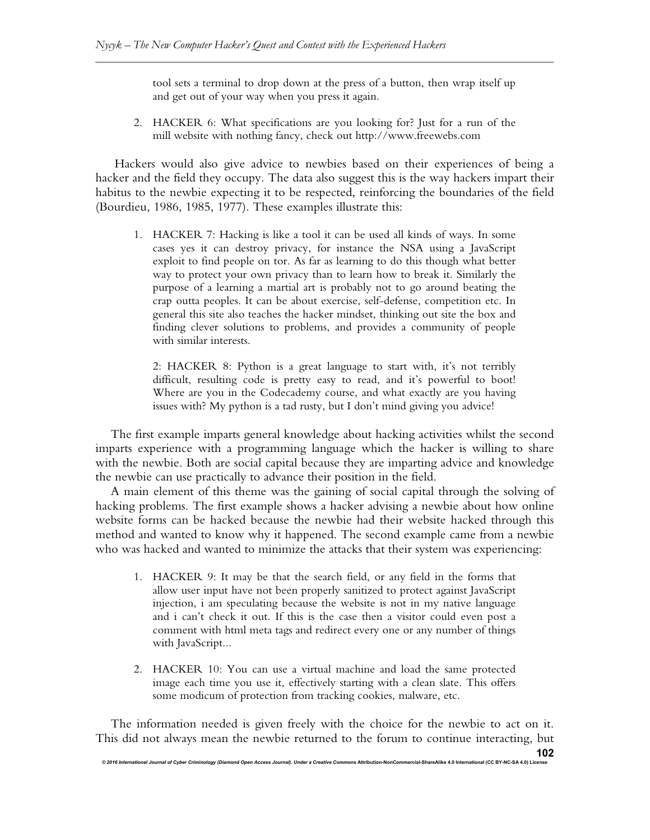tool sets a terminal to drop down at the press of a button, then wrap itself up and get out of your way when you press it again.

2. HACKER 6: What specifications are you looking for? Just for a run of the mill website with nothing fancy, check out http://www.freewebs.com

Hackers would also give advice to newbies based on their experiences of being a hacker and the field they occupy. The data also suggest this is the way hackers impart their habitus to the newbie expecting it to be respected, reinforcing the boundaries of the field (Bourdieu, 1986, 1985, 1977). These examples illustrate this:

1. HACKER 7: Hacking is like a tool it can be used all kinds of ways. In some cases yes it can destroy privacy, for instance the NSA using a JavaScript exploit to find people on tor. As far as learning to do this though what better way to protect your own privacy than to learn how to break it. Similarly the purpose of a learning a martial art is probably not to go around beating the crap outta peoples. It can be about exercise, self-defense, competition etc. In general this site also teaches the hacker mindset, thinking out site the box and finding clever solutions to problems, and provides a community of people with similar interests.

2: HACKER 8: Python is a great language to start with, it's not terribly difficult, resulting code is pretty easy to read, and it's powerful to boot! Where are you in the Codecademy course, and what exactly are you having issues with? My python is a tad rusty, but I don't mind giving you advice!

The first example imparts general knowledge about hacking activities whilst the second imparts experience with a programming language which the hacker is willing to share with the newbie. Both are social capital because they are imparting advice and knowledge the newbie can use practically to advance their position in the field.

A main element of this theme was the gaining of social capital through the solving of hacking problems. The first example shows a hacker advising a newbie about how online website forms can be hacked because the newbie had their website hacked through this method and wanted to know why it happened. The second example came from a newbie who was hacked and wanted to minimize the attacks that their system was experiencing:

- 1. HACKER 9: It may be that the search field, or any field in the forms that allow user input have not been properly sanitized to protect against JavaScript injection, i am speculating because the website is not in my native language and i can't check it out. If this is the case then a visitor could even post a comment with html meta tags and redirect every one or any number of things with JavaScript...
- 2. HACKER 10: You can use a virtual machine and load the same protected image each time you use it, effectively starting with a clean slate. This offers some modicum of protection from tracking cookies, malware, etc.

The information needed is given freely with the choice for the newbie to act on it. This did not always mean the newbie returned to the forum to continue interacting, but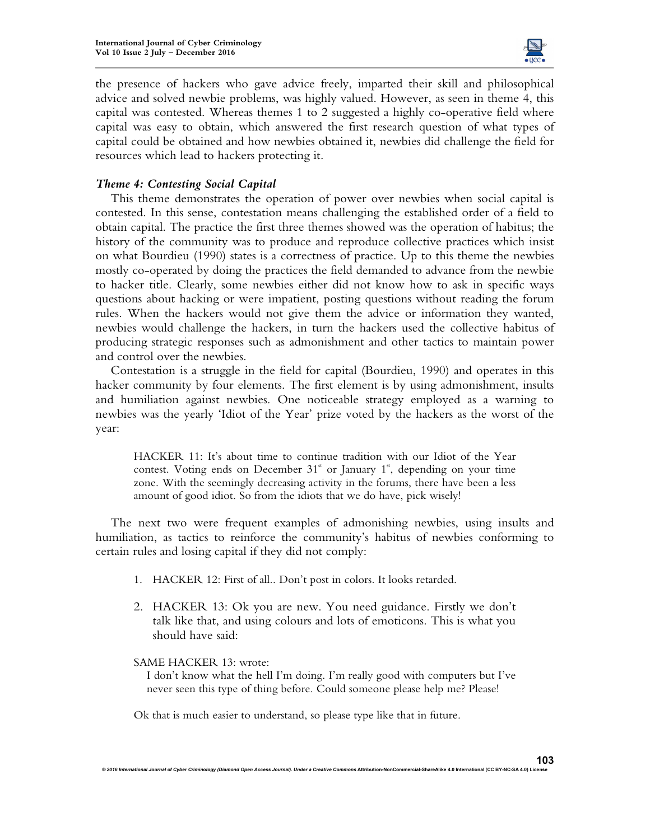

the presence of hackers who gave advice freely, imparted their skill and philosophical advice and solved newbie problems, was highly valued. However, as seen in theme 4, this capital was contested. Whereas themes 1 to 2 suggested a highly co-operative field where capital was easy to obtain, which answered the first research question of what types of capital could be obtained and how newbies obtained it, newbies did challenge the field for resources which lead to hackers protecting it.

## *Theme 4: Contesting Social Capital*

This theme demonstrates the operation of power over newbies when social capital is contested. In this sense, contestation means challenging the established order of a field to obtain capital. The practice the first three themes showed was the operation of habitus; the history of the community was to produce and reproduce collective practices which insist on what Bourdieu (1990) states is a correctness of practice. Up to this theme the newbies mostly co-operated by doing the practices the field demanded to advance from the newbie to hacker title. Clearly, some newbies either did not know how to ask in specific ways questions about hacking or were impatient, posting questions without reading the forum rules. When the hackers would not give them the advice or information they wanted, newbies would challenge the hackers, in turn the hackers used the collective habitus of producing strategic responses such as admonishment and other tactics to maintain power and control over the newbies.

Contestation is a struggle in the field for capital (Bourdieu, 1990) and operates in this hacker community by four elements. The first element is by using admonishment, insults and humiliation against newbies. One noticeable strategy employed as a warning to newbies was the yearly 'Idiot of the Year' prize voted by the hackers as the worst of the year:

HACKER 11: It's about time to continue tradition with our Idiot of the Year contest. Voting ends on December  $31<sup>*</sup>$  or January  $1<sup>*</sup>$ , depending on your time zone. With the seemingly decreasing activity in the forums, there have been a less amount of good idiot. So from the idiots that we do have, pick wisely!

The next two were frequent examples of admonishing newbies, using insults and humiliation, as tactics to reinforce the community's habitus of newbies conforming to certain rules and losing capital if they did not comply:

- 1. HACKER 12: First of all.. Don't post in colors. It looks retarded.
- 2. HACKER 13: Ok you are new. You need guidance. Firstly we don't talk like that, and using colours and lots of emoticons. This is what you should have said:

#### SAME HACKER 13: wrote:

 I don't know what the hell I'm doing. I'm really good with computers but I've never seen this type of thing before. Could someone please help me? Please!

Ok that is much easier to understand, so please type like that in future.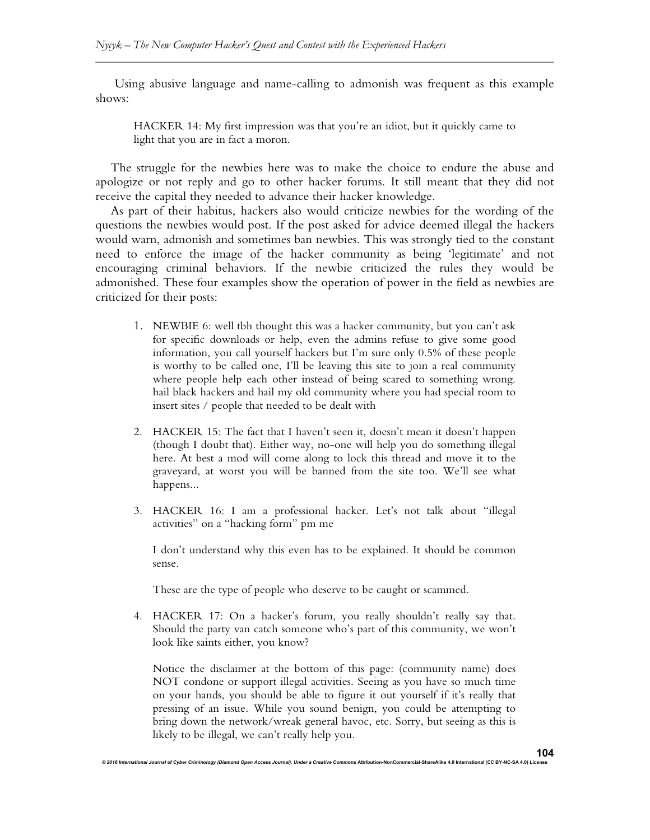Using abusive language and name-calling to admonish was frequent as this example shows:

HACKER 14: My first impression was that you're an idiot, but it quickly came to light that you are in fact a moron.

The struggle for the newbies here was to make the choice to endure the abuse and apologize or not reply and go to other hacker forums. It still meant that they did not receive the capital they needed to advance their hacker knowledge.

As part of their habitus, hackers also would criticize newbies for the wording of the questions the newbies would post. If the post asked for advice deemed illegal the hackers would warn, admonish and sometimes ban newbies. This was strongly tied to the constant need to enforce the image of the hacker community as being 'legitimate' and not encouraging criminal behaviors. If the newbie criticized the rules they would be admonished. These four examples show the operation of power in the field as newbies are criticized for their posts:

- 1. NEWBIE 6: well tbh thought this was a hacker community, but you can't ask for specific downloads or help, even the admins refuse to give some good information, you call yourself hackers but I'm sure only 0.5% of these people is worthy to be called one, I'll be leaving this site to join a real community where people help each other instead of being scared to something wrong. hail black hackers and hail my old community where you had special room to insert sites / people that needed to be dealt with
- 2. HACKER 15: The fact that I haven't seen it, doesn't mean it doesn't happen (though I doubt that). Either way, no-one will help you do something illegal here. At best a mod will come along to lock this thread and move it to the graveyard, at worst you will be banned from the site too. We'll see what happens...
- 3. HACKER 16: I am a professional hacker. Let's not talk about "illegal activities" on a "hacking form" pm me

I don't understand why this even has to be explained. It should be common sense.

These are the type of people who deserve to be caught or scammed.

*© 2016 International Journal of Cyber Criminology (Diamond Open Access Journal). Under a Creative Commons* **Attribution-NonCommercial-ShareAlike 4.0 International (CC BY-NC-SA 4.0) License** 

4. HACKER 17: On a hacker's forum, you really shouldn't really say that. Should the party van catch someone who's part of this community, we won't look like saints either, you know?

Notice the disclaimer at the bottom of this page: (community name) does NOT condone or support illegal activities. Seeing as you have so much time on your hands, you should be able to figure it out yourself if it's really that pressing of an issue. While you sound benign, you could be attempting to bring down the network/wreak general havoc, etc. Sorry, but seeing as this is likely to be illegal, we can't really help you.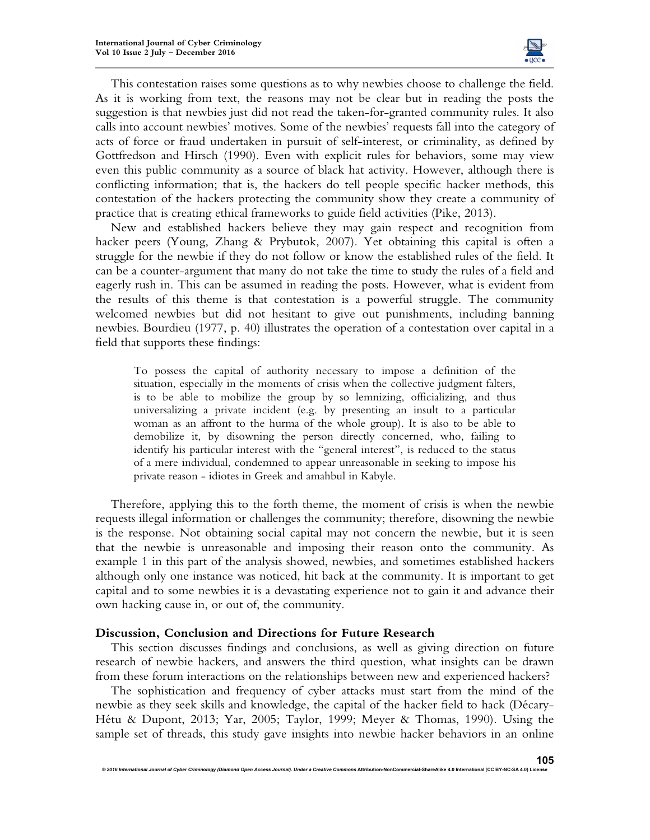

This contestation raises some questions as to why newbies choose to challenge the field. As it is working from text, the reasons may not be clear but in reading the posts the suggestion is that newbies just did not read the taken-for-granted community rules. It also calls into account newbies' motives. Some of the newbies' requests fall into the category of acts of force or fraud undertaken in pursuit of self-interest, or criminality, as defined by Gottfredson and Hirsch (1990). Even with explicit rules for behaviors, some may view even this public community as a source of black hat activity. However, although there is conflicting information; that is, the hackers do tell people specific hacker methods, this contestation of the hackers protecting the community show they create a community of practice that is creating ethical frameworks to guide field activities (Pike, 2013).

New and established hackers believe they may gain respect and recognition from hacker peers (Young, Zhang & Prybutok, 2007). Yet obtaining this capital is often a struggle for the newbie if they do not follow or know the established rules of the field. It can be a counter-argument that many do not take the time to study the rules of a field and eagerly rush in. This can be assumed in reading the posts. However, what is evident from the results of this theme is that contestation is a powerful struggle. The community welcomed newbies but did not hesitant to give out punishments, including banning newbies. Bourdieu (1977, p. 40) illustrates the operation of a contestation over capital in a field that supports these findings:

To possess the capital of authority necessary to impose a definition of the situation, especially in the moments of crisis when the collective judgment falters, is to be able to mobilize the group by so lemnizing, officializing, and thus universalizing a private incident (e.g. by presenting an insult to a particular woman as an affront to the hurma of the whole group). It is also to be able to demobilize it, by disowning the person directly concerned, who, failing to identify his particular interest with the "general interest", is reduced to the status of a mere individual, condemned to appear unreasonable in seeking to impose his private reason - idiotes in Greek and amahbul in Kabyle.

Therefore, applying this to the forth theme, the moment of crisis is when the newbie requests illegal information or challenges the community; therefore, disowning the newbie is the response. Not obtaining social capital may not concern the newbie, but it is seen that the newbie is unreasonable and imposing their reason onto the community. As example 1 in this part of the analysis showed, newbies, and sometimes established hackers although only one instance was noticed, hit back at the community. It is important to get capital and to some newbies it is a devastating experience not to gain it and advance their own hacking cause in, or out of, the community.

#### **Discussion, Conclusion and Directions for Future Research**

 $@$  2016 International Journal of Cyber Criminology (Diamond Open Access Journal). Under a Creative

This section discusses findings and conclusions, as well as giving direction on future research of newbie hackers, and answers the third question, what insights can be drawn from these forum interactions on the relationships between new and experienced hackers?

The sophistication and frequency of cyber attacks must start from the mind of the newbie as they seek skills and knowledge, the capital of the hacker field to hack (Décary-Hétu & Dupont, 2013; Yar, 2005; Taylor, 1999; Meyer & Thomas, 1990). Using the sample set of threads, this study gave insights into newbie hacker behaviors in an online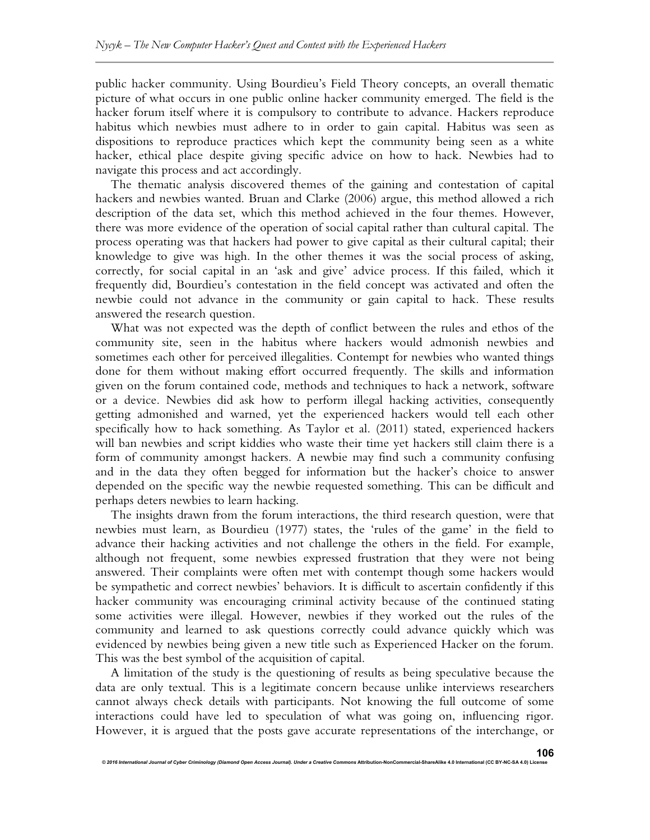public hacker community. Using Bourdieu's Field Theory concepts, an overall thematic picture of what occurs in one public online hacker community emerged. The field is the hacker forum itself where it is compulsory to contribute to advance. Hackers reproduce habitus which newbies must adhere to in order to gain capital. Habitus was seen as dispositions to reproduce practices which kept the community being seen as a white hacker, ethical place despite giving specific advice on how to hack. Newbies had to navigate this process and act accordingly.

The thematic analysis discovered themes of the gaining and contestation of capital hackers and newbies wanted. Bruan and Clarke (2006) argue, this method allowed a rich description of the data set, which this method achieved in the four themes. However, there was more evidence of the operation of social capital rather than cultural capital. The process operating was that hackers had power to give capital as their cultural capital; their knowledge to give was high. In the other themes it was the social process of asking, correctly, for social capital in an 'ask and give' advice process. If this failed, which it frequently did, Bourdieu's contestation in the field concept was activated and often the newbie could not advance in the community or gain capital to hack. These results answered the research question.

What was not expected was the depth of conflict between the rules and ethos of the community site, seen in the habitus where hackers would admonish newbies and sometimes each other for perceived illegalities. Contempt for newbies who wanted things done for them without making effort occurred frequently. The skills and information given on the forum contained code, methods and techniques to hack a network, software or a device. Newbies did ask how to perform illegal hacking activities, consequently getting admonished and warned, yet the experienced hackers would tell each other specifically how to hack something. As Taylor et al. (2011) stated, experienced hackers will ban newbies and script kiddies who waste their time yet hackers still claim there is a form of community amongst hackers. A newbie may find such a community confusing and in the data they often begged for information but the hacker's choice to answer depended on the specific way the newbie requested something. This can be difficult and perhaps deters newbies to learn hacking.

The insights drawn from the forum interactions, the third research question, were that newbies must learn, as Bourdieu (1977) states, the 'rules of the game' in the field to advance their hacking activities and not challenge the others in the field. For example, although not frequent, some newbies expressed frustration that they were not being answered. Their complaints were often met with contempt though some hackers would be sympathetic and correct newbies' behaviors. It is difficult to ascertain confidently if this hacker community was encouraging criminal activity because of the continued stating some activities were illegal. However, newbies if they worked out the rules of the community and learned to ask questions correctly could advance quickly which was evidenced by newbies being given a new title such as Experienced Hacker on the forum. This was the best symbol of the acquisition of capital.

A limitation of the study is the questioning of results as being speculative because the data are only textual. This is a legitimate concern because unlike interviews researchers cannot always check details with participants. Not knowing the full outcome of some interactions could have led to speculation of what was going on, influencing rigor. However, it is argued that the posts gave accurate representations of the interchange, or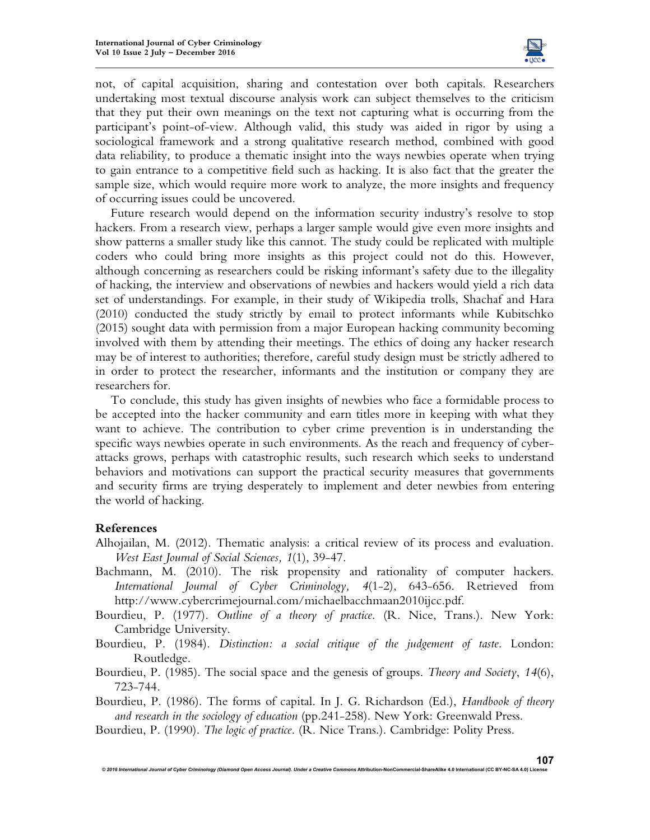

not, of capital acquisition, sharing and contestation over both capitals. Researchers undertaking most textual discourse analysis work can subject themselves to the criticism that they put their own meanings on the text not capturing what is occurring from the participant's point-of-view. Although valid, this study was aided in rigor by using a sociological framework and a strong qualitative research method, combined with good data reliability, to produce a thematic insight into the ways newbies operate when trying to gain entrance to a competitive field such as hacking. It is also fact that the greater the sample size, which would require more work to analyze, the more insights and frequency of occurring issues could be uncovered.

Future research would depend on the information security industry's resolve to stop hackers. From a research view, perhaps a larger sample would give even more insights and show patterns a smaller study like this cannot. The study could be replicated with multiple coders who could bring more insights as this project could not do this. However, although concerning as researchers could be risking informant's safety due to the illegality of hacking, the interview and observations of newbies and hackers would yield a rich data set of understandings. For example, in their study of Wikipedia trolls, Shachaf and Hara (2010) conducted the study strictly by email to protect informants while Kubitschko (2015) sought data with permission from a major European hacking community becoming involved with them by attending their meetings. The ethics of doing any hacker research may be of interest to authorities; therefore, careful study design must be strictly adhered to in order to protect the researcher, informants and the institution or company they are researchers for.

To conclude, this study has given insights of newbies who face a formidable process to be accepted into the hacker community and earn titles more in keeping with what they want to achieve. The contribution to cyber crime prevention is in understanding the specific ways newbies operate in such environments. As the reach and frequency of cyberattacks grows, perhaps with catastrophic results, such research which seeks to understand behaviors and motivations can support the practical security measures that governments and security firms are trying desperately to implement and deter newbies from entering the world of hacking.

## **References**

- Alhojailan, M. (2012). Thematic analysis: a critical review of its process and evaluation. *West East Journal of Social Sciences, 1*(1), 39-47.
- Bachmann, M. (2010). The risk propensity and rationality of computer hackers. *International Journal of Cyber Criminology, 4*(1-2), 643-656. Retrieved from http://www.cybercrimejournal.com/michaelbacchmaan2010ijcc.pdf.
- Bourdieu, P. (1977). *Outline of a theory of practice*. (R. Nice, Trans.). New York: Cambridge University.
- Bourdieu, P. (1984). *Distinction: a social critique of the judgement of taste*. London: Routledge.
- Bourdieu, P. (1985). The social space and the genesis of groups. *Theory and Society*, *14*(6), 723-744.
- Bourdieu, P. (1986). The forms of capital. In J. G. Richardson (Ed.), *Handbook of theory and research in the sociology of education* (pp.241-258). New York: Greenwald Press.

Bourdieu, P. (1990). *The logic of practice*. (R. Nice Trans.). Cambridge: Polity Press.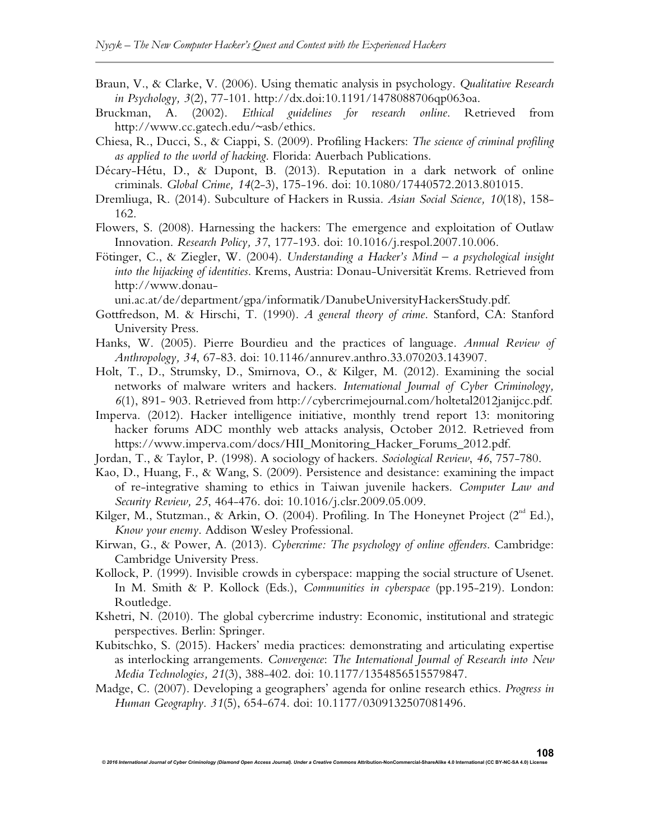- Braun, V., & Clarke, V. (2006). Using thematic analysis in psychology. *Qualitative Research in Psychology, 3*(2), 77-101. http://dx.doi:10.1191/1478088706qp063oa.
- Bruckman, A. (2002). *Ethical guidelines for research online*. Retrieved from http://www.cc.gatech.edu/~asb/ethics.
- Chiesa, R., Ducci, S., & Ciappi, S. (2009). Profiling Hackers: *The science of criminal profiling as applied to the world of hacking*. Florida: Auerbach Publications.
- Décary-Hétu, D., & Dupont, B. (2013). Reputation in a dark network of online criminals. *Global Crime, 14*(2-3), 175-196. doi: 10.1080/17440572.2013.801015.
- Dremliuga, R. (2014). Subculture of Hackers in Russia. *Asian Social Science, 10*(18), 158- 162.
- Flowers, S. (2008). Harnessing the hackers: The emergence and exploitation of Outlaw Innovation. *Research Policy, 37*, 177-193. doi: 10.1016/j.respol.2007.10.006.
- Fötinger, C., & Ziegler, W. (2004). *Understanding a Hacker's Mind a psychological insight into the hijacking of identities*. Krems, Austria: Donau-Universität Krems. Retrieved from http://www.donau-

uni.ac.at/de/department/gpa/informatik/DanubeUniversityHackersStudy.pdf.

- Gottfredson, M. & Hirschi, T. (1990). *A general theory of crime*. Stanford, CA: Stanford University Press.
- Hanks, W. (2005). Pierre Bourdieu and the practices of language. *Annual Review of Anthropology, 34*, 67-83. doi: 10.1146/annurev.anthro.33.070203.143907.
- Holt, T., D., Strumsky, D., Smirnova, O., & Kilger, M. (2012). Examining the social networks of malware writers and hackers. *International Journal of Cyber Criminology, 6*(1), 891- 903. Retrieved from http://cybercrimejournal.com/holtetal2012janijcc.pdf.
- Imperva. (2012). Hacker intelligence initiative, monthly trend report 13: monitoring hacker forums ADC monthly web attacks analysis, October 2012. Retrieved from https://www.imperva.com/docs/HII\_Monitoring\_Hacker\_Forums\_2012.pdf.
- Jordan, T., & Taylor, P. (1998). A sociology of hackers. *Sociological Review*, *46*, 757-780.
- Kao, D., Huang, F., & Wang, S. (2009). Persistence and desistance: examining the impact of re-integrative shaming to ethics in Taiwan juvenile hackers. *Computer Law and Security Review, 25*, 464-476. doi: 10.1016/j.clsr.2009.05.009.
- Kilger, M., Stutzman., & Arkin, O. (2004). Profiling. In The Honeynet Project ( $2<sup>nd</sup> Ed.$ ), *Know your enemy*. Addison Wesley Professional.
- Kirwan, G., & Power, A. (2013). *Cybercrime: The psychology of online offenders*. Cambridge: Cambridge University Press.
- Kollock, P. (1999). Invisible crowds in cyberspace: mapping the social structure of Usenet. In M. Smith & P. Kollock (Eds.), *Communities in cyberspace* (pp.195-219). London: Routledge.
- Kshetri, N. (2010). The global cybercrime industry: Economic, institutional and strategic perspectives. Berlin: Springer.
- Kubitschko, S. (2015). Hackers' media practices: demonstrating and articulating expertise as interlocking arrangements. *Convergence*: *The International Journal of Research into New Media Technologies, 21*(3), 388-402. doi: 10.1177/1354856515579847.
- Madge, C. (2007). Developing a geographers' agenda for online research ethics. *Progress in Human Geography*. *31*(5), 654-674. doi: 10.1177/0309132507081496.

*© 2016 International Journal of Cyber Criminology (Diamond Open Access Journal). Under a Creative Commons* **Attribution-NonCommercial-ShareAlike 4.0 International (CC BY-NC-SA 4.0) License**